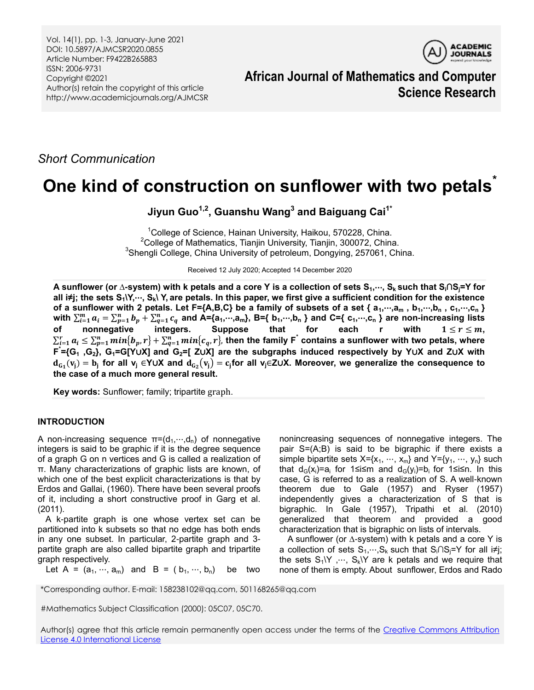Vol. 14(1), pp. 1-3, January-June 2021 DOI: 10.5897/AJMCSR2020.0855 Article Number: F9422B265883 ISSN: 2006-9731 Copyright ©2021 Author(s) retain the copyright of this article http://www.academicjournals.org/AJMCSR



**African Journal of Mathematics and Computer Science Research**

*Short Communication*

# **One kind of construction on sunflower with two petals\***

**Jiyun Guo1,2, Guanshu Wang<sup>3</sup> and Baiguang Cai1\***

<sup>1</sup>College of Science, Hainan University, Haikou, 570228, China.  $2$ College of Mathematics, Tianjin University, Tianjin, 300072, China.  ${}^{3}$ Shengli College, China University of petroleum, Dongying, 257061, China.

Received 12 July 2020; Accepted 14 December 2020

**A sunflower (or ∆-system) with k petals and a core Y is a collection of sets S1,**⋯**, Sk such that Si∩Sj=Y for all i≠j; the sets S1\Y,**⋯**, Sk\ Y, are petals. In this paper, we first give a sufficient condition for the existence of a sunflower with 2 petals. Let F={A,B,C} be a family of subsets of a set { a1,**⋯**,a<sup>m</sup> , b1,**⋯**,b<sup>n</sup> , c1,**⋯**,c<sup>n</sup> }** with  $\sum_{i=1}^m a_i = \sum_{p=1}^n b_p + \sum_{q=1}^n c_q$  and A={a<sub>1</sub>,···,a<sub>m</sub>}, B={ b<sub>1</sub>,···,b<sub>n</sub> } and C={ c<sub>1</sub>,···,c<sub>n</sub> } are non-increasing lists **of** nonnegative integers. Suppose that for each r with  $1 \le r \le m$ ,  $\sum_{i=1}^ra_i\leq\sum_{p=1}^nmin\{b_p,r\}+\sum_{q=1}^nmin\{c_q,r\}$ , then the family  $\sf F^\star$  contains a sunflower with two petals, where **F \* ={G<sup>1</sup> ,G2}, G1=G[Y**∪**X] and G2=[ Z**∪**X] are the subgraphs induced respectively by Y**∪**X and Z**∪**X with**  () = **for all v<sup>j</sup>** ∈**Y**∪**X and**  () = **for all vj**∈**Z**∪**X. Moreover, we generalize the consequence to the case of a much more general result.**

**Key words:** Sunflower; family; tripartite graph.

# **INTRODUCTION**

A non-increasing sequence  $\pi=(d_1,\dots,d_n)$  of nonnegative integers is said to be graphic if it is the degree sequence of a graph G on n vertices and G is called a realization of π. Many characterizations of graphic lists are known, of which one of the best explicit characterizations is that by Erdos and Gallai, (1960). There have been several proofs of it, including a short constructive proof in Garg et al. (2011).

A k-partite graph is one whose vertex set can be partitioned into k subsets so that no edge has both ends in any one subset. In particular, 2-partite graph and 3 partite graph are also called bipartite graph and tripartite graph respectively.

nonincreasing sequences of nonnegative integers. The pair S=(A;B) is said to be bigraphic if there exists a simple bipartite sets  $X = \{x_1, \dots, x_m\}$  and  $Y = \{y_1, \dots, y_n\}$  such that d<sub>G</sub>(x<sub>i</sub>)=a<sub>i</sub> for 1≤i≤m and d<sub>G</sub>(y<sub>i</sub>)=b<sub>i</sub> for 1≤i≤n. In this case, G is referred to as a realization of S. A well-known theorem due to Gale (1957) and Ryser (1957) independently gives a characterization of S that is bigraphic. In Gale (1957), Tripathi et al. (2010) generalized that theorem and provided a good characterization that is bigraphic on lists of intervals.

A sunflower (or ∆-system) with k petals and a core Y is a collection of sets  $S_1, \dots, S_k$  such that  $S_i \cap S_i = Y$  for all  $i \neq j$ ; the sets  $S_1\ Y \ \cdots \ S_k\ Y$  are k petals and we require that none of them is empty. About sunflower, Erdos and Rado

Let A =  $(a_1, ..., a_m)$  and B =  $(b_1, ..., b_n)$  be two

\*Corresponding author. E-mail: 158238102@qq.com, 501168265@qq.com

#Mathematics Subject Classification (2000): 05C07, 05C70.

Author(s) agree that this article remain permanently open access under the terms of the [Creative Commons Attribution](http://creativecommons.org/licenses/by/4.0/deed.en_US)  [License 4.0 International License](http://creativecommons.org/licenses/by/4.0/deed.en_US)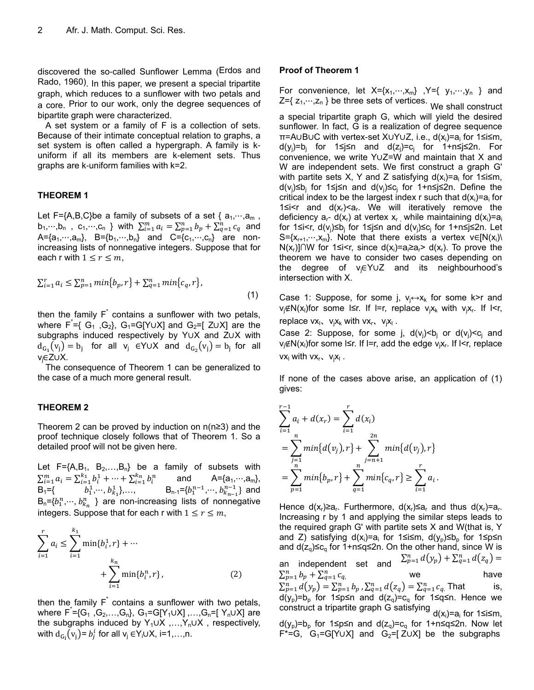discovered the so-called Sunflower Lemma (Erdos and Rado, 1960). In this paper, we present a special tripartite graph, which reduces to a sunflower with two petals and a core. Prior to our work, only the degree sequences of bipartite graph were characterized.

A set system or a family of F is a collection of sets. Because of their intimate conceptual relation to graphs, a set system is often called a hypergraph. A family is kuniform if all its members are k-element sets. Thus graphs are k-uniform families with k=2.

# **THEOREM 1**

Let F={A,B,C}be a family of subsets of a set { $a_1, \dots, a_m$ ,  $b_1,...,b_n$ ,  $c_1,...,c_n$  } with  $\sum_{i=1}^m a_i = \sum_{p=1}^n b_p + \sum_{q=1}^n c_q$  and A={ $a_1, ..., a_m$ }, B={ $b_1, ..., b_n$ } and C={ $c_1, ..., c_n$ } are nonincreasing lists of nonnegative integers. Suppose that for each r with  $1 \le r \le m$ ,

$$
\sum_{i=1}^{r} a_i \le \sum_{p=1}^{n} \min\{b_p, r\} + \sum_{q=1}^{n} \min\{c_q, r\},\tag{1}
$$

then the family  $F^*$  contains a sunflower with two petals, where  $F^{\dagger} = \{ G_1, G_2 \}$ ,  $G_1 = G[Y \cup X]$  and  $G_2 = [Z \cup X]$  are the subgraphs induced respectively by Y∪X and Z∪X with  $d_{G_1}(v_j) = b_j$  for all  $v_j \in Y \cup X$  and  $d_{G_2}(v_j) = b_j$  for all vj∈Z∪X.

The consequence of Theorem 1 can be generalized to the case of a much more general result.

# **THEOREM 2**

Theorem 2 can be proved by induction on n(n≥3) and the proof technique closely follows that of Theorem 1. So a detailed proof will not be given here.

Let  $F = \{A, B_1, B_2, \ldots, B_n\}$  be a family of subsets with  $\sum_{i=1}^{m} a_i = \sum_{i=1}^{k_1} b_i^1 + \dots + \sum_{i=1}^{k_n} b_i^n$  and  $A = \{a_1, \dots, a_m\}$ , B<sub>1</sub>={ $b_1^1, ..., b_{k_1}^1$ },...,  $B_{n-1} = \{b_1^{n-1}, ..., b_{k_{n-1}}^{n-1}\}$  and  $B_n = \{b_1^n, \dots, b_{k_n}^n\}$  are non-increasing lists of nonnegative integers. Suppose that for each r with  $1 \le r \le m$ ,

$$
\sum_{i=1}^{r} a_i \le \sum_{i=1}^{k_1} \min\{b_i^1, r\} + \cdots + \sum_{i=1}^{k_n} \min\{b_i^n, r\},
$$
\n(2)

then the family  $F^*$  contains a sunflower with two petals, where  $F^* = \{G_1, G_2, ..., G_n\}$ ,  $G_1 = G[Y_1 \cup X]$ , ,..., $G_n = [Y_n \cup X]$  are the subgraphs induced by Y<sub>1</sub>∪X ,...,Y<sub>n</sub>∪X, respectively, with  $d_{G_i}(v_j)$ =  $b_j^i$  for all  $v_j \in Y_i \cup X$ , i=1,…,n.

### **Proof of Theorem 1**

For convenience, let  $X = \{x_1, \dots, x_m\}$ ,  $Y = \{y_1, \dots, y_n\}$  and  $Z=\{ z_1, \dots, z_n \}$  be three sets of vertices.<br>We shall construct

a special tripartite graph G, which will yield the desired sunflower. In fact, G is a realization of degree sequence π=A∪B∪C with vertex-set X∪Y∪Z, i.e., d(x<sub>i</sub>)=a<sub>i</sub> for 1≤i≤m, d(y<sub>j</sub>)=b<sub>j</sub> for 1≤j≤n and d(z<sub>j</sub>)=c<sub>j</sub> for 1+n≤j≤2n. For convenience, we write Y∪Z=W and maintain that X and W are independent sets. We first construct a graph G' with partite sets X, Y and Z satisfying  $d(x_i)=a_i$  for 1≤i≤m, d(v<sub>j</sub>)≤b<sub>j</sub> for 1≤j≤n and d(v<sub>j</sub>)≤c<sub>j</sub> for 1+n≤j≤2n. Define the critical index to be the largest index r such that  $d(x_i)=a_i$  for 1≤i<r and  $d(x_r) < a_r$ . We will iteratively remove the deficiency  $a_r - d(x_r)$  at vertex  $x_r$ , while maintaining  $d(x_i)=a_i$ for 1≤i<r, d(v<sub>j</sub>)≤b<sub>j</sub> for 1≤j≤n and d(v<sub>j</sub>)≤c<sub>j</sub> for 1+n≤j≤2n. Let S={ $x_{r+1},...,x_m$ }. Note that there exists a vertex v∈[N( $x_i$ ) N(x<sub>r</sub>)]∩W for 1≤i<r, since d(x<sub>i</sub>)=a<sub>i</sub>≥a<sub>r</sub>> d(x<sub>r</sub>). To prove the theorem we have to consider two cases depending on the degree of vj∈Y∪Z and its neighbourhood's intersection with X.

Case 1: Suppose, for some j,  $v_i \leftrightarrow x_k$  for some k>r and v<sub>j</sub>∉N(x<sub>i</sub>)for some l≤r. If l=r, replace v<sub>j</sub>x<sub>k</sub> with v<sub>j</sub>x<sub>r</sub>. If l<r, replace  $vx_1$ ,  $v_jx_k$  with  $vx_r$ ,  $v_jx_l$ .

Case 2: Suppose, for some j,  $d(v_i) < b_i$  or  $d(v_i) < c_i$  and v<sub>j</sub>∉N(x<sub>i</sub>)for some l≤r. If l=r, add the edge v<sub>j</sub>x<sub>r</sub>. If l<r, replace  $vx_l$  with  $vx_r$ ,  $v_jx_l$ .

If none of the cases above arise, an application of (1) gives:

$$
\sum_{i=1}^{r-1} a_i + d(x_r) = \sum_{i=1}^r d(x_i)
$$
  
= 
$$
\sum_{j=1}^n \min\{d(v_j), r\} + \sum_{j=n+1}^{2n} \min\{d(v_j), r\}
$$
  
= 
$$
\sum_{p=1}^n \min\{b_p, r\} + \sum_{q=1}^n \min\{c_q, r\} \ge \sum_{i=1}^r a_i.
$$

Hence  $d(x_r) \ge a_r$ . Furthermore,  $d(x_r) \le a_r$  and thus  $d(x_r) = a_r$ . Increasing r by 1 and applying the similar steps leads to the required graph G' with partite sets X and W(that is, Y and Z) satisfying d(x<sub>i</sub>)=a<sub>i</sub> for 1≤i≤m, d(y<sub>p</sub>)≤b<sub>p</sub> for 1≤p≤n and  $d(z_0) \leq c_0$  for 1+n≤q≤2n. On the other hand, since W is an independent set and  $\sum_{p=1}^n d(y_p) + \sum_{q=1}^n d(z_q) =$  $\sum_{p=1}^{n} b_p + \sum_{q=1}^{n} c_q$  $_{q=1}^{n} c_q$ , we have  $\sum_{p=1}^{n} d(y_p) = \sum_{p=1}^{n} b_p$ ,  $\sum_{q=1}^{n} d(z_q) = \sum_{q=1}^{n} c_q$ . That is,  $d(y_p)=b_p$  for 1≤p≤n and  $d(z_q)=c_q$  for 1≤q≤n. Hence we construct a tripartite graph G satisfying <sub>d(x<sub>i</sub>)=a<sub>i</sub> for 1≤i≤m,</sub> d(y<sub>p</sub>)=b<sub>p</sub> for 1≤p≤n and d(z<sub>q</sub>)=c<sub>q</sub> for 1+n≤q≤2n. Now let F\*=G, G<sub>1</sub>=G[Y∪X] and G<sub>2</sub>=[Z∪X] be the subgraphs